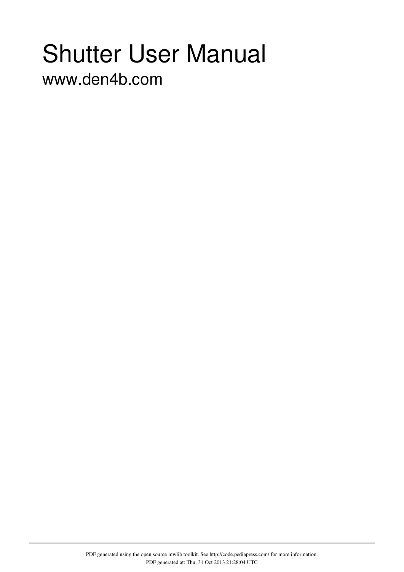# Shutter User Manual

www.den4b.com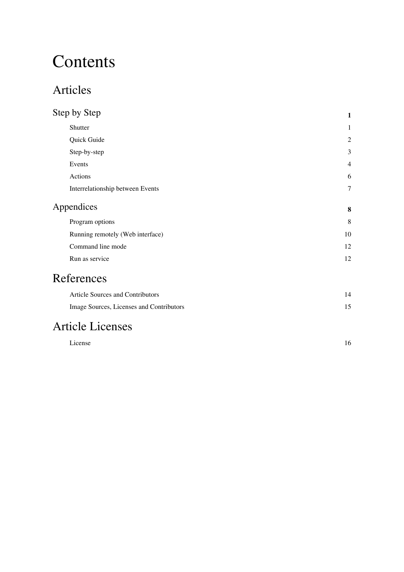# **Contents**

### Articles

| Step by Step                     | 1              |
|----------------------------------|----------------|
| Shutter                          | 1              |
| Quick Guide                      | 2              |
| Step-by-step                     | 3              |
| Events                           | $\overline{4}$ |
| Actions                          | 6              |
| Interrelationship between Events | $\tau$         |
| Appendices                       | 8              |
| Program options                  | 8              |
| Running remotely (Web interface) | 10             |
| Command line mode                | 12             |
| Run as service                   | 12             |
|                                  |                |

### References

| Article Sources and Contributors         |  |
|------------------------------------------|--|
| Image Sources, Licenses and Contributors |  |

### Article Licenses

| $\mathbf{r}$<br>License<br>. | 16 |
|------------------------------|----|
|                              |    |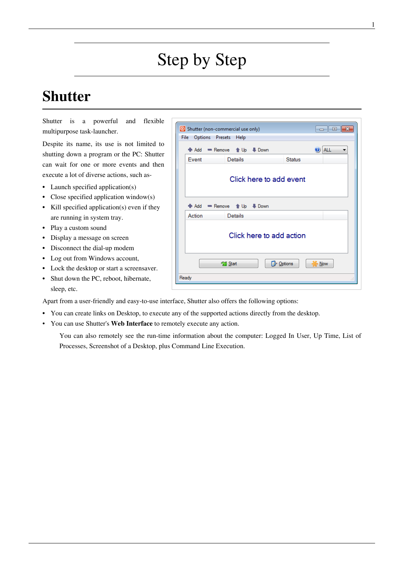# Step by Step

### <span id="page-2-0"></span>**Shutter**

[Shutter](#page-2-0) is a powerful and flexible multipurpose task-launcher.

Despite its name, its use is not limited to shutting down a program or the PC: Shutter can wait for one or more events and then execute a lot of diverse actions, such as-

- Launch specified application(s)
- Close specified application window(s)
- Kill specified application(s) even if they are running in system tray.
- Play a custom sound
- Display a message on screen
- Disconnect the dial-up modem
- Log out from Windows account,
- Lock the desktop or start a screensaver.
- Shut down the PC, reboot, hibernate, sleep, etc.

Apart from a user-friendly and easy-to-use interface, Shutter also offers the following options:

- You can create links on Desktop, to execute any of the supported actions directly from the desktop.
- You can use Shutter's **Web Interface** to remotely execute any action.

You can also remotely see the run-time information about the computer: Logged In User, Up Time, List of Processes, Screenshot of a Desktop, plus Command Line Execution.

|                                                  |                           | <b>O</b> Shutter (non-commercial use only) | <u>La 1. O</u>   | Iнх |
|--------------------------------------------------|---------------------------|--------------------------------------------|------------------|-----|
| File                                             | <b>Options</b><br>Presets | Help                                       |                  |     |
|                                                  | +Me Add<br>$R$ Remove     | <b>↑Up</b><br><b>J</b> Down                | <b>ALL</b><br>Ø) |     |
|                                                  | <b>Fvent</b>              | <b>Details</b>                             | <b>Status</b>    |     |
|                                                  | Click here to add event   |                                            |                  |     |
|                                                  | $=$ Remove<br>Add         | <b>↑Up</b><br>Down                         |                  |     |
|                                                  | Action                    | <b>Details</b>                             |                  |     |
| Click here to add action                         |                           |                                            |                  |     |
| <b>P</b> Options<br>Start<br>$\sim$ Now<br>Ready |                           |                                            |                  |     |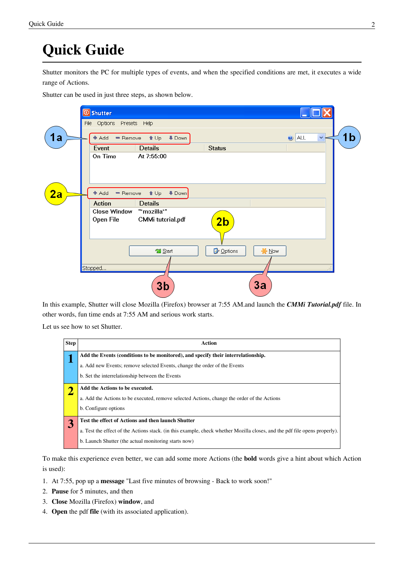### **Quick Guide**

Shutter monitors the PC for multiple types of [events](http://www.den4b.com/w/index.php?title=Shutter:Events), and when the specified conditions are met, it executes a wide range of [Actions](http://www.den4b.com/w/index.php?title=Shutter:Actions).

Shutter can be used in just three steps, as shown below.

|           | <b><i>O</i></b> Shutter<br>File Options Presets Help                   |                                            |                                |    |
|-----------|------------------------------------------------------------------------|--------------------------------------------|--------------------------------|----|
| 1a        | <sup>1</sup> t Up<br>Add<br>$=$ Remove<br><b>Details</b><br>Event      | <b>↓</b> Down<br><b>Status</b>             | $\bigcirc$ ALL<br>$\checkmark$ | 1b |
|           | At 7:55:00<br>On Time                                                  |                                            |                                |    |
| <u>2a</u> | Add<br>$=$ Remove<br>$\triangle$ Up<br><b>Action</b><br><b>Details</b> | <b>↓Down</b>                               |                                |    |
|           | "*mozilla*"<br><b>Close Window</b><br>Open File                        | <b>CMMi</b> tutorial.pdf<br>2 <sub>b</sub> |                                |    |
|           |                                                                        | Options<br>Start                           | <b>*</b> Now                   |    |
|           | Stopped                                                                | 3b                                         | 3a                             |    |

In this example, Shutter will close Mozilla (Firefox) browser at 7:55 AM.and launch the *CMMi Tutorial.pdf* file. In other words, fun time ends at 7:55 AM and serious work starts.

Let us see how to set Shutter.

| <b>Step</b> | Action                                                                                                                     |
|-------------|----------------------------------------------------------------------------------------------------------------------------|
|             | Add the Events (conditions to be monitored), and specify their interrelationship.                                          |
|             | a. Add new Events; remove selected Events, change the order of the Events                                                  |
|             | b. Set the interrelationship between the Events                                                                            |
|             | Add the Actions to be executed.                                                                                            |
|             | a. Add the Actions to be executed, remove selected Actions, change the order of the Actions                                |
|             | b. Configure options                                                                                                       |
|             | Test the effect of Actions and then launch Shutter                                                                         |
|             | a. Test the effect of the Actions stack. (in this example, check whether Mozilla closes, and the pdf file opens properly). |
|             | b. Launch Shutter (the actual monitoring starts now)                                                                       |

To make this experience even better, we can add some more Actions (the **bold** words give a hint about which [Action](http://www.den4b.com/w/index.php?title=Shutter:Actions) is used):

- 1. At 7:55, pop up a **message** "Last five minutes of browsing Back to work soon!"
- 2. **Pause** for 5 minutes, and then
- 3. **Close** Mozilla (Firefox) **window**, and
- 4. **Open** the pdf **file** (with its associated application).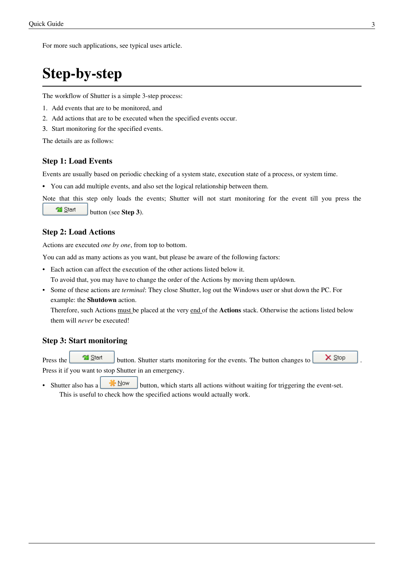For more such applications, see [typical uses](http://www.den4b.com/w/index.php?title=Shutter:Typical_uses) article.

### **Step-by-step**

The workflow of [Shutter](#page-2-0) is a simple 3-step process:

- 1. Add [events t](http://www.den4b.com/w/index.php?title=Shutter:Events)hat are to be monitored, and
- 2. Add [actions t](http://www.den4b.com/w/index.php?title=Shutter:Actions)hat are to be executed when the specified events occur.
- 3. Start monitoring for the specified events.

The details are as follows:

#### **Step 1: Load Events**

[Events](http://www.den4b.com/w/index.php?title=Shutter:Events) are usually based on periodic checking of a system state, execution state of a process, or system time.

• You can add multiple events, and also set the logical relationship between them.

Note that this step only loads the events; Shutter will not start monitoring for the event till you press th[e](http://www.den4b.com/w/index.php?title=File:ShutterStartButton.png)

Start [b](http://www.den4b.com/w/index.php?title=File:ShutterStartButton.png)utton (see **Step 3**).

#### **Step 2: Load Actions**

[Actions](http://www.den4b.com/w/index.php?title=Shutter:Actions) are executed *one by one*, from top to bottom.

You can add as many actions as you want, but please be aware of the following factors:

• Each action can affect the execution of the other actions listed below it.

To avoid that, you may have to change the order of the Actions by moving them up/down.

• Some of these actions are *terminal*: They close Shutter, log out the Windows user or shut down the PC. For example: the **Shutdown** action.

Therefore, such Actions must be placed at the very end of the **Actions** stack. Otherwise the actions listed below them will *never* be executed!

#### **Step 3: Start monitoring**

Press the  $\Box$  Start button. Shutter starts monitoring for the events. The button changes to  $\Box$  Stop Press it if you want to stop Shutter in an emergency.

• Shutter also has a **button**, which starts all actions without waiting for triggering the event-set. This is useful to check how the specified actions would actually work.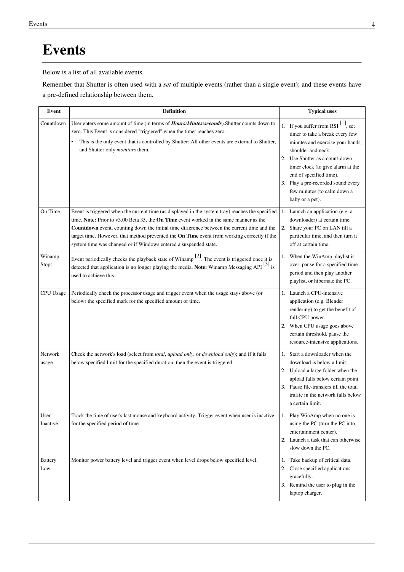### **Events**

Below is a list of all available events.

Remember that Shutter is often used with a *set* of multiple events (rather than a single event); and these events have a [pre-defined relationship b](http://www.den4b.com/w/index.php?title=Shutter:Logic)etween them.

| <b>Event</b>           | <b>Definition</b>                                                                                                                                                                                                                                                                                                                                                                                                                                            | <b>Typical uses</b>                                                                                                                                                                                                                                                                                                          |
|------------------------|--------------------------------------------------------------------------------------------------------------------------------------------------------------------------------------------------------------------------------------------------------------------------------------------------------------------------------------------------------------------------------------------------------------------------------------------------------------|------------------------------------------------------------------------------------------------------------------------------------------------------------------------------------------------------------------------------------------------------------------------------------------------------------------------------|
| Countdown              | User enters some amount of time (in terms of <i>Hours: Miutes: seconds</i> ). Shutter counts down to<br>zero. This Event is considered "triggered" when the timer reaches zero.<br>This is the only event that is controlled by Shutter: All other events are external to Shutter,<br>and Shutter only <i>monitors</i> them.                                                                                                                                 | 1. If you suffer from RSI $[1]$ , set<br>timer to take a break every few<br>minutes and exercise your hands,<br>shoulder and neck.<br>2. Use Shutter as a count-down<br>timer clock (to give alarm at the<br>end of specified time).<br>3. Play a pre-recorded sound every<br>few minutes (to calm down a<br>baby or a pet). |
| On Time                | Event is triggered when the current time (as displayed in the system tray) reaches the specified<br>time. Note: Prior to v3.00 Beta 35, the On Time event worked in the same manner as the<br>Countdown event, counting down the initial time difference between the current time and the<br>target time. However, that method prevented the On Time event from working correctly if the<br>system time was changed or if Windows entered a suspended state. | 1. Launch an application (e.g. a<br>downloader) at certain time.<br>2. Share your PC on LAN till a<br>particular time, and then turn it<br>off at certain time.                                                                                                                                                              |
| Winamp<br><b>Stops</b> | Event periodically checks the playback state of Winamp <sup>[2]</sup> . The event is triggered once it is<br>detected that application is no longer playing the media. Note: Winamp Messaging API $^{[3]}$ is<br>used to achieve this.                                                                                                                                                                                                                       | 1. When the WinAmp playlist is<br>over, pause for a specified time<br>period and then play another<br>playlist, or hibernate the PC.                                                                                                                                                                                         |
| CPU Usage              | Periodically check the processor usage and trigger event when the usage stays above (or<br>below) the specified mark for the specified amount of time.                                                                                                                                                                                                                                                                                                       | 1. Launch a CPU-intensive<br>application (e.g. Blender<br>rendering) to get the benefit of<br>full CPU power.<br>2. When CPU usage goes above<br>certain threshold, pause the<br>resource-intensive applications.                                                                                                            |
| Network<br>usage       | Check the network's load (select from total, upload only, or download only); and if it falls<br>below specified limit for the specified duration, then the event is triggered.                                                                                                                                                                                                                                                                               | 1. Start a downloader when the<br>download is below a limit.<br>2. Upload a large folder when the<br>upload falls below certain point<br>3. Pause file-transfers till the total<br>traffic in the network falls below<br>a certain limit.                                                                                    |
| User<br>Inactive       | Track the time of user's last mouse and keyboard activity. Trigger event when user is inactive<br>for the specified period of time.                                                                                                                                                                                                                                                                                                                          | 1. Play WinAmp when no one is<br>using the PC (turn the PC into<br>entertainment center).<br>2. Launch a task that can otherwise<br>slow down the PC.                                                                                                                                                                        |
| <b>Battery</b><br>Low  | Monitor power battery level and trigger event when level drops below specified level.                                                                                                                                                                                                                                                                                                                                                                        | 1. Take backup of critical data.<br>2. Close specified applications<br>gracefully.<br>3. Remind the user to plug in the<br>laptop charger.                                                                                                                                                                                   |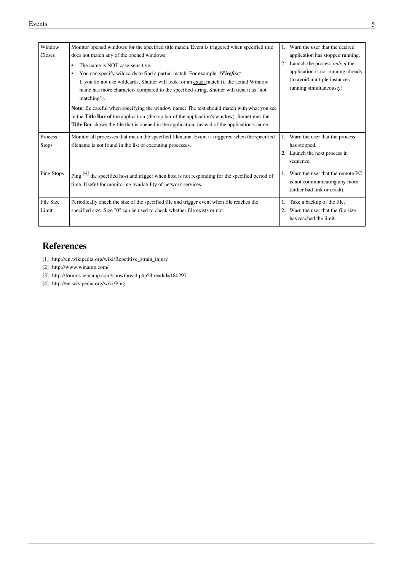| Window<br>Closes        | Monitor opened windows for the specified title match. Event is triggered when specified title<br>does not match any of the opened windows.                                                                                                                                                                                                                                                                                                                                                                                                                                                                                                     | $1_{-}$ | Warn the user that the desired                                                                                                                                             |
|-------------------------|------------------------------------------------------------------------------------------------------------------------------------------------------------------------------------------------------------------------------------------------------------------------------------------------------------------------------------------------------------------------------------------------------------------------------------------------------------------------------------------------------------------------------------------------------------------------------------------------------------------------------------------------|---------|----------------------------------------------------------------------------------------------------------------------------------------------------------------------------|
|                         | The name is NOT case-sensitive.<br>٠<br>You can specify wildcards to find a partial match. For example, * <i>Firefox</i> *.<br>If you do not use wildcards, Shutter will look for an exact match (if the actual Window<br>name has more characters compared to the specified string, Shutter will treat it as "not<br>matching").<br>Note: Be careful when specifying the window name: The text should match with what you see<br>in the <b>Title Bar</b> of the application (the top bar of the application's window). Sometimes the<br><b>Title Bar</b> shows the file that is opened in the application, instead of the application's name. | 2.      | application has stopped running.<br>Launch the process <i>only if</i> the<br>application is not running already<br>(to avoid multiple instances<br>running simultaneously) |
| Process<br><b>Stops</b> | Monitor all processes that match the specified filename. Event is triggered when the specified<br>filename is not found in the list of executing processes.                                                                                                                                                                                                                                                                                                                                                                                                                                                                                    |         | 1. Warn the user that the process<br>has stopped.<br>2. Launch the next process in<br>sequence.                                                                            |
| Ping Stops              | Ping $[4]$ the specified host and trigger when host is not responding for the specified period of<br>time. Useful for monitoring availability of network services.                                                                                                                                                                                                                                                                                                                                                                                                                                                                             |         | 1. Warn the user that the remote PC<br>is not communicating any more<br>(either bad link or crash).                                                                        |
| File Size<br>Limit      | Periodically check the size of the specified file and trigger event when file reaches the<br>specified size. Size "0" can be used to check whether file exists or not.                                                                                                                                                                                                                                                                                                                                                                                                                                                                         | 2.      | Take a backup of the file.<br>Warn the user that the file size<br>has reached the limit.                                                                                   |

#### **References**

- [1] [http://en.wikipedia.org/wiki/Repetitive\\_strain\\_injury](http://en.wikipedia.org/wiki/Repetitive_strain_injury)
- [2] <http://www.winamp.com/>
- [3] <http://forums.winamp.com/showthread.php?threadid=180297>
- [4] <http://en.wikipedia.org/wiki/Ping>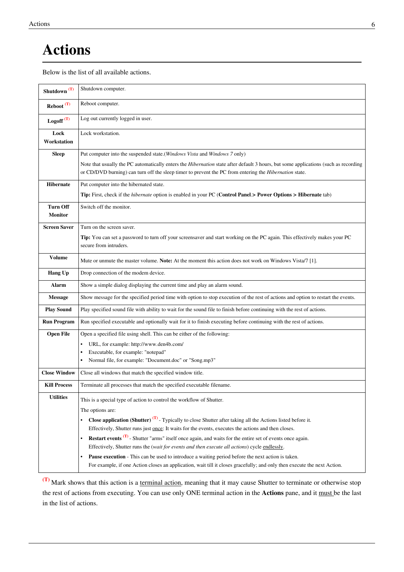### **Actions**

Below is the list of all available actions.

| Shutdown <sup>(T)</sup> | Shutdown computer.                                                                                                                                                                                                                            |
|-------------------------|-----------------------------------------------------------------------------------------------------------------------------------------------------------------------------------------------------------------------------------------------|
| $Reboot$ <sup>(T)</sup> | Reboot computer.                                                                                                                                                                                                                              |
| Logoff <sup>(T)</sup>   | Log out currently logged in user.                                                                                                                                                                                                             |
| Lock<br>Workstation     | Lock workstation.                                                                                                                                                                                                                             |
| <b>Sleep</b>            | Put computer into the suspended state.(Windows Vista and Windows 7 only)                                                                                                                                                                      |
|                         | Note that usually the PC automatically enters the Hibernation state after default 3 hours, but some applications (such as recording<br>or CD/DVD burning) can turn off the sleep timer to prevent the PC from entering the Hibernation state. |
| <b>Hibernate</b>        | Put computer into the hibernated state.                                                                                                                                                                                                       |
|                         | Tip: First, check if the <i>hibernate</i> option is enabled in your PC (Control Panel.> Power Options > Hibernate tab)                                                                                                                        |
| <b>Turn Off</b>         | Switch off the monitor.                                                                                                                                                                                                                       |
| <b>Monitor</b>          |                                                                                                                                                                                                                                               |
| <b>Screen Saver</b>     | Turn on the screen saver.                                                                                                                                                                                                                     |
|                         | Tip: You can set a password to turn off your screensaver and start working on the PC again. This effectively makes your PC<br>secure from intruders.                                                                                          |
| <b>Volume</b>           | Mute or unmute the master volume. Note: At the moment this action does not work on Windows Vista/7 [1].                                                                                                                                       |
| <b>Hang Up</b>          | Drop connection of the modem device.                                                                                                                                                                                                          |
| Alarm                   | Show a simple dialog displaying the current time and play an alarm sound.                                                                                                                                                                     |
| <b>Message</b>          | Show message for the specified period time with option to stop execution of the rest of actions and option to restart the events.                                                                                                             |
| <b>Play Sound</b>       | Play specified sound file with ability to wait for the sound file to finish before continuing with the rest of actions.                                                                                                                       |
| <b>Run Program</b>      | Run specified executable and optionally wait for it to finish executing before continuing with the rest of actions.                                                                                                                           |
| <b>Open File</b>        | Open a specified file using shell. This can be either of the following:                                                                                                                                                                       |
|                         | URL, for example: http://www.den4b.com/                                                                                                                                                                                                       |
|                         | Executable, for example: "notepad"                                                                                                                                                                                                            |
|                         | Normal file, for example: "Document.doc" or "Song.mp3"                                                                                                                                                                                        |
| <b>Close Window</b>     | Close all windows that match the specified window title.                                                                                                                                                                                      |
| <b>Kill Process</b>     | Terminate all processes that match the specified executable filename.                                                                                                                                                                         |
| <b>Utilities</b>        | This is a special type of action to control the workflow of Shutter.                                                                                                                                                                          |
|                         | The options are:                                                                                                                                                                                                                              |
|                         | <b>Close application (Shutter)</b> $(T)$ - Typically to close Shutter after taking all the Actions listed before it.                                                                                                                          |
|                         | Effectively, Shutter runs just once: It waits for the events, executes the actions and then closes.                                                                                                                                           |
|                         | <b>Restart events (T)</b> - Shutter "arms" itself once again, and waits for the entire set of events once again.                                                                                                                              |
|                         | Effectively, Shutter runs the (wait for events and then execute all actions) cycle endlessly.                                                                                                                                                 |
|                         | <b>Pause execution</b> - This can be used to introduce a waiting period before the next action is taken.<br>For example, if one Action closes an application, wait till it closes gracefully; and only then execute the next Action.          |

**(T)** Mark shows that this action is a terminal action, meaning that it may cause Shutter to terminate or otherwise stop the rest of actions from executing. You can use only ONE terminal action in the **Actions** pane, and it must be the last in the list of actions.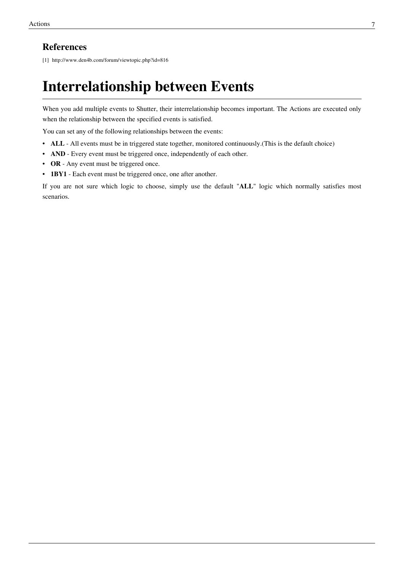#### **References**

[1] <http://www.den4b.com/forum/viewtopic.php?id=816>

### **Interrelationship between Events**

When you add multiple [events](http://www.den4b.com/w/index.php?title=Shutter:Events) to Shutter, their interrelationship becomes important. The [Actions a](http://www.den4b.com/w/index.php?title=Shutter:Actions)re executed only when the relationship between the specified events is satisfied.

You can set any of the following relationships between the events:

- **ALL**  All events must be in triggered state together, monitored continuously.(This is the default choice)
- **AND** Every event must be triggered once, independently of each other.
- **OR**  Any event must be triggered once.
- **1BY1**  Each event must be triggered once, one after another.

If you are not sure which logic to choose, simply use the default "**ALL**" logic which normally satisfies most scenarios.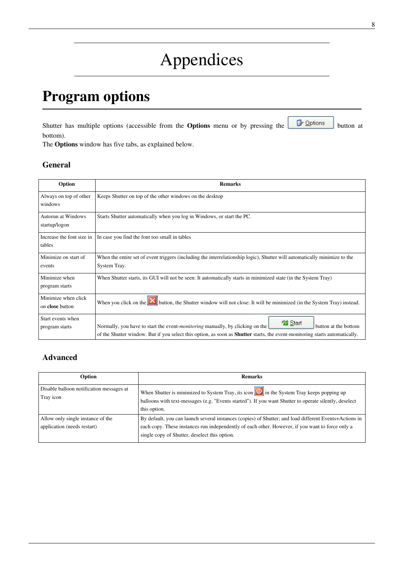# Appendices

### **Program options**

Shutt[e](http://www.den4b.com/w/index.php?title=File:ShutterOptionsButton.png)r has multiple options (accessible from the **Options** menu or by pressing the **B** Options button at bottom).

The **Options** window has five tabs, as explained below.

#### **General**

| Option                                 | <b>Remarks</b>                                                                                                                                                                                                                                               |  |
|----------------------------------------|--------------------------------------------------------------------------------------------------------------------------------------------------------------------------------------------------------------------------------------------------------------|--|
| Always on top of other<br>windows      | Keeps Shutter on top of the other windows on the desktop                                                                                                                                                                                                     |  |
| Autorun at Windows<br>startup/logon    | Starts Shutter automatically when you log in Windows, or start the PC.                                                                                                                                                                                       |  |
| Increase the font size in<br>tables    | In case you find the font too small in tables                                                                                                                                                                                                                |  |
| Minimize on start of<br>events         | When the entire set of event triggers (including the interrelationship logic), Shutter will automatically minimize to the<br>System Tray.                                                                                                                    |  |
| Minimize when<br>program starts        | When Shutter starts, its GUI will not be seen: It automatically starts in minimized state (in the System Tray)                                                                                                                                               |  |
| Minimize when click<br>on close button | When you click on the <b>X</b> button, the Shutter window will not close: It will be minimized (in the System Tray) instead.                                                                                                                                 |  |
| Start events when<br>program starts    | Start<br>Normally, you have to start the event- <i>monitoring</i> manually, by clicking on the<br>button at the bottom<br>of the Shutter window. But if you select this option, as soon as <b>Shutter</b> starts, the event-monitoring starts automatically. |  |

#### **Advanced**

| Option                                                           | <b>Remarks</b>                                                                                                                                                                                                                                              |
|------------------------------------------------------------------|-------------------------------------------------------------------------------------------------------------------------------------------------------------------------------------------------------------------------------------------------------------|
| Disable balloon notification messages at<br>Tray icon            | When Shutter is minimized to System Tray, its icon $\omega$ in the System Tray keeps popping up<br>balloons with text-messages (e.g. "Events started"). If you want Shutter to operate silently, deselect<br>this option.                                   |
| Allow only single instance of the<br>application (needs restart) | By default, you can launch several instances (copies) of Shutter; and load different Events+Actions in<br>each copy. These instances run independently of each other. However, if you want to force only a<br>single copy of Shutter, deselect this option. |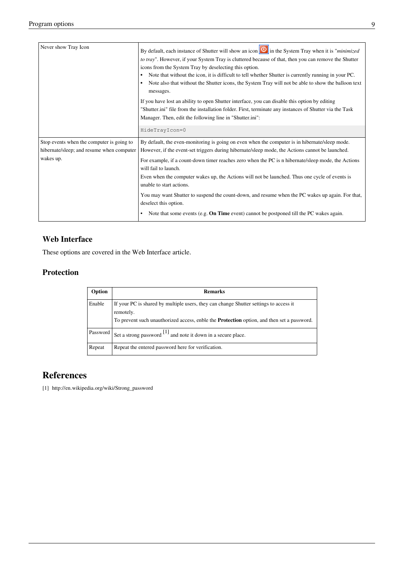| Never show Tray Icon                      | By default, each instance of Shutter will show an icon $\Box$ in the System Tray when it is " <i>minimized</i><br>to tray". However, if your System Tray is cluttered because of that, then you can remove the Shutter<br>icons from the System Tray by deselecting this option.<br>Note that without the icon, it is difficult to tell whether Shutter is currently running in your PC.<br>Note also that without the Shutter icons, the System Tray will not be able to show the balloon text<br>$\bullet$<br>messages.<br>If you have lost an ability to open Shutter interface, you can disable this option by editing<br>"Shutter.ini" file from the installation folder. First, terminate any instances of Shutter via the Task<br>Manager. Then, edit the following line in "Shutter.ini":<br>HideTrayIcon=0 |
|-------------------------------------------|---------------------------------------------------------------------------------------------------------------------------------------------------------------------------------------------------------------------------------------------------------------------------------------------------------------------------------------------------------------------------------------------------------------------------------------------------------------------------------------------------------------------------------------------------------------------------------------------------------------------------------------------------------------------------------------------------------------------------------------------------------------------------------------------------------------------|
| Stop events when the computer is going to | By default, the even-monitoring is going on even when the computer is in hibernate/sleep mode.                                                                                                                                                                                                                                                                                                                                                                                                                                                                                                                                                                                                                                                                                                                      |
| hibernate/sleep; and resume when computer | However, if the event-set triggers during hibernate/sleep mode, the Actions cannot be launched.                                                                                                                                                                                                                                                                                                                                                                                                                                                                                                                                                                                                                                                                                                                     |
| wakes up.                                 | For example, if a count-down timer reaches zero when the PC is n hibernate/sleep mode, the Actions<br>will fail to launch.<br>Even when the computer wakes up, the Actions will not be launched. Thus one cycle of events is                                                                                                                                                                                                                                                                                                                                                                                                                                                                                                                                                                                        |
|                                           | unable to start actions.                                                                                                                                                                                                                                                                                                                                                                                                                                                                                                                                                                                                                                                                                                                                                                                            |
|                                           | You may want Shutter to suspend the count-down, and resume when the PC wakes up again. For that,<br>deselect this option.                                                                                                                                                                                                                                                                                                                                                                                                                                                                                                                                                                                                                                                                                           |
|                                           | Note that some events (e.g. <b>On Time</b> event) cannot be postponed till the PC wakes again.<br>$\bullet$                                                                                                                                                                                                                                                                                                                                                                                                                                                                                                                                                                                                                                                                                                         |

#### **Web Interface**

These options are covered in the [Web Interface](http://www.den4b.com/w/index.php?title=Shutter:Web_Interface) article.

#### **Protection**

| Option   | <b>Remarks</b>                                                                                                                                                                                          |
|----------|---------------------------------------------------------------------------------------------------------------------------------------------------------------------------------------------------------|
| Enable   | If your PC is shared by multiple users, they can change Shutter settings to access it<br>remotely.<br>To prevent such unauthorized access, enble the <b>Protection</b> option, and then set a password. |
| Password | Set a strong password $\begin{bmatrix} 1 \end{bmatrix}$ and note it down in a secure place.                                                                                                             |
| Repeat   | Repeat the entered password here for verification.                                                                                                                                                      |

#### **References**

[1] [http://en.wikipedia.org/wiki/Strong\\_password](http://en.wikipedia.org/wiki/Strong_password)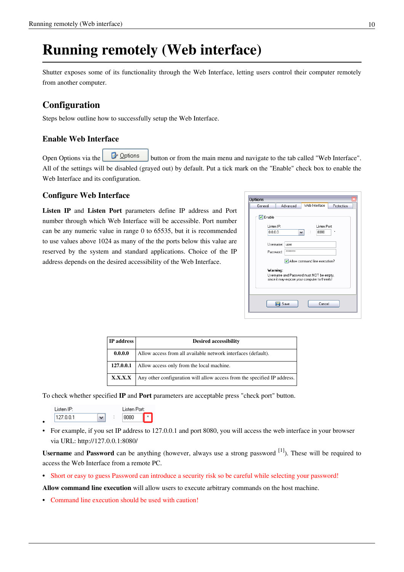### **Running remotely (Web interface)**

[Shutter](#page-2-0) exposes some of its functionality through the [Web Interface,](http://www.den4b.com/w/index.php?title=Shutter:Web_Interface) letting users control their computer remotely from another computer.

#### **Configuration**

Steps below outline how to successfully setup the Web Interface.

#### **Enable Web Interface**

Open [Options](http://www.den4b.com/w/index.php?title=Shutter:Options) via th[e](http://www.den4b.com/w/index.php?title=File:ShutterOptionsButton.png)  $\Box$   $\Box$   $\Box$   $\Box$   $\Box$  button or from the main menu and navigate to the tab called "Web Interface". All of the settings will be disabled (grayed out) by default. Put a tick mark on the "Enable" check box to enable the Web Interface and its configuration.

#### **Configure Web Interface**

**Listen IP** and **Listen Port** parameters define IP address and Port number through which Web Interface will be accessible. Port number can be any numeric value in range 0 to 65535, but it is recommended to use values above 1024 as many of the the ports below this value are reserved by the system and standard applications. Choice of the IP address depends on the desired accessibility of the Web Interface.

| <b>Options</b>                                                            |                                          |                                                                                                                            |            |  |
|---------------------------------------------------------------------------|------------------------------------------|----------------------------------------------------------------------------------------------------------------------------|------------|--|
| General                                                                   | Advanced                                 | Web Interface                                                                                                              | Protection |  |
| $\triangledown$ Enable<br>Listen IP:<br>0.0.0.0<br>Username:<br>Password: | $\checkmark$<br>user<br><b>xxxxxxxxx</b> | Listen Port:<br>8080                                                                                                       | ×          |  |
| Warning:                                                                  |                                          | Allow command line execution?<br>Username and Password must NOT be empty,<br>since it may expose your computer to threats! |            |  |
|                                                                           | Save                                     | Cancel                                                                                                                     |            |  |

| IP address | <b>Desired accessibility</b>                                             |
|------------|--------------------------------------------------------------------------|
| 0.0.0.0    | Allow access from all available network interfaces (default).            |
| 127.0.0.1  | Allow access only from the local machine.                                |
| X.X.X.X    | Any other configuration will allow access from the specified IP address. |

To check whether specified **IP** and **Port** parameters are acceptable press "check port" button.

- Listen IP: Listen Port:  $127.0.0.1$  $\checkmark$ 8080 •
- For example, if you set IP address to 127.0.0.1 and port 8080, you will access the web interface in your browser via URL: <http://127.0.0.1:8080/>

**Username** and **Password** can be anything (however, always use a strong password <sup>[\[1\]](http://en.wikipedia.org/wiki/Strong_password)</sup>). These will be required to access the Web Interface from a remote PC.

• Short or easy to guess Password can introduce a security risk so be careful while selecting your password!

**Allow command line execution** will allow users to execute arbitrary commands on the host machine.

• Command line execution should be used with caution!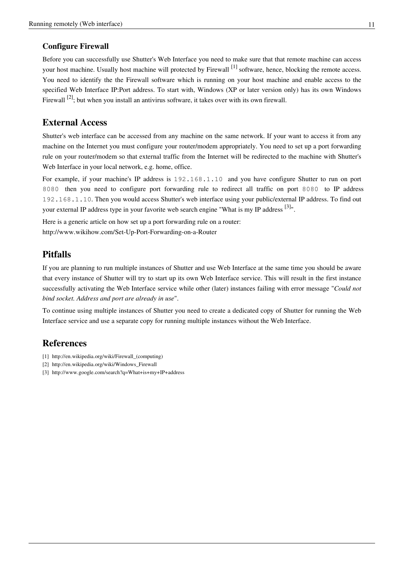#### **Configure Firewall**

Before you can successfully use Shutter's Web Interface you need to make sure that that remote machine can access your host machine. Usually host machine will protected by Firewall <sup>[1]</sup> software, hence, blocking the remote access. You need to identify the the Firewall software which is running on your host machine and enable access to the specified Web Interface IP:Port address. To start with, Windows (XP or later version only) has its own Windows Firewall  $^{[2]}$  $^{[2]}$  $^{[2]}$ ; but when you install an antivirus software, it takes over with its own firewall.

#### **External Access**

Shutter's web interface can be accessed from any machine on the same network. If your want to access it from any machine on the Internet you must configure your router/modem appropriately. You need to set up a port forwarding rule on your router/modem so that external traffic from the Internet will be redirected to the machine with Shutter's Web Interface in your local network, e.g. home, office.

For example, if your machine's IP address is 192.168.1.10 and you have configure Shutter to run on port 8080 then you need to configure port forwarding rule to redirect all traffic on port 8080 to IP address 192.168.1.10. Then you would access Shutter's web interface using your public/external IP address. To find out your external IP address type in your favorite web search engine "What is my IP address  $[3]$ ".

Here is a generic article on how set up a port forwarding rule on a router: <http://www.wikihow.com/Set-Up-Port-Forwarding-on-a-Router>

#### **Pitfalls**

If you are planning to run multiple instances of Shutter and use Web Interface at the same time you should be aware that every instance of Shutter will try to start up its own Web Interface service. This will result in the first instance successfully activating the Web Interface service while other (later) instances failing with error message "*Could not bind socket. Address and port are already in use*".

To continue using multiple instances of Shutter you need to create a dedicated copy of Shutter for running the Web Interface service and use a separate copy for running multiple instances without the Web Interface.

#### **References**

- [1] [http://en.wikipedia.org/wiki/Firewall\\_\(computing\)](http://en.wikipedia.org/wiki/Firewall_(computing))
- [2] [http://en.wikipedia.org/wiki/Windows\\_Firewall](http://en.wikipedia.org/wiki/Windows_Firewall)
- [3] <http://www.google.com/search?q=What+is+my+IP+address>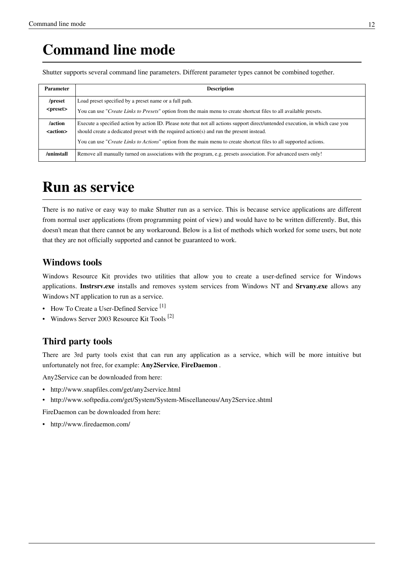### **Command line mode**

[Shutter](#page-2-0) supports several command line parameters. Different parameter types cannot be combined together.

| Parameter                    | <b>Description</b>                                                                                                                                                                                                                                                                                                                                         |
|------------------------------|------------------------------------------------------------------------------------------------------------------------------------------------------------------------------------------------------------------------------------------------------------------------------------------------------------------------------------------------------------|
| /preset<br><preset></preset> | Load preset specified by a preset name or a full path.<br>You can use " <i>Create Links to Presets</i> " option from the main menu to create shortcut files to all available presets.                                                                                                                                                                      |
| /action<br><action></action> | Execute a specified action by action ID. Please note that not all actions support direct/untended execution, in which case you<br>should create a dedicated preset with the required action(s) and run the present instead.<br>You can use " <i>Create Links to Actions</i> " option from the main menu to create shortcut files to all supported actions. |
| /uninstall                   | Remove all manually turned on associations with the program, e.g. presets association. For advanced users only!                                                                                                                                                                                                                                            |

### **Run as service**

There is no native or easy way to make [Shutter](#page-2-0) run as a service. This is because service applications are different from normal user applications (from programming point of view) and would have to be written differently. But, this doesn't mean that there cannot be any workaround. Below is a list of methods which worked for some users, but note that they are not officially supported and cannot be guaranteed to work.

#### **Windows tools**

Windows Resource Kit provides two utilities that allow you to create a user-defined service for Windows applications. **Instrsrv.exe** installs and removes system services from Windows NT and **Srvany.exe** allows any Windows NT application to run as a service.

- How To Create a User-Defined Service<sup>[\[1\]](http://support.microsoft.com/kb/137890)</sup>
- Windows Server 2003 Resource Kit Tools<sup>[\[2\]](http://www.microsoft.com/downloads/details.aspx?familyid=9d467a69-57ff-4ae7-96ee-b18c4790cffd&displaylang=en)</sup>

#### **Third party tools**

There are 3rd party tools exist that can run any application as a service, which will be more intuitive but unfortunately not free, for example: **Any2Service**, **FireDaemon** .

Any2Service can be downloaded from here:

- <http://www.snapfiles.com/get/any2service.html>
- <http://www.softpedia.com/get/System/System-Miscellaneous/Any2Service.shtml>

FireDaemon can be downloaded from here:

• <http://www.firedaemon.com/>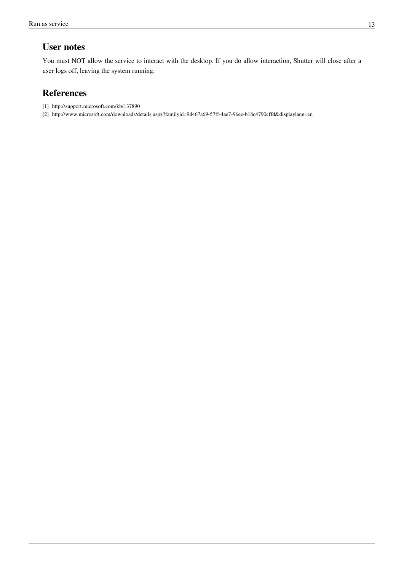#### **User notes**

You must NOT allow the service to interact with the desktop. If you do allow interaction, [Shutter](#page-2-0) will close after a user logs off, leaving the system running.

#### **References**

- [1] <http://support.microsoft.com/kb/137890>
- [2] <http://www.microsoft.com/downloads/details.aspx?familyid=9d467a69-57ff-4ae7-96ee-b18c4790cffd&displaylang=en>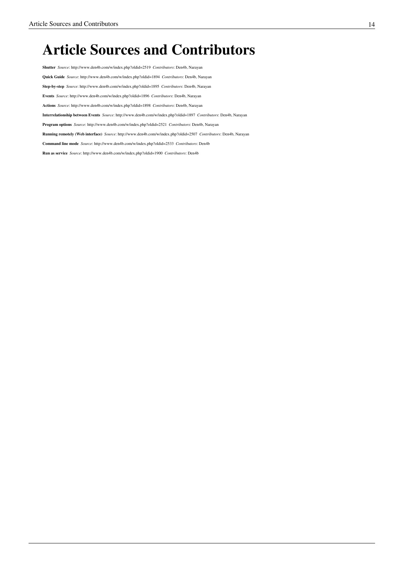### **Article Sources and Contributors**

**Shutter** *Source*: http://www.den4b.com/w/index.php?oldid=2519 *Contributors*: Den4b, Narayan **Quick Guide** *Source*: http://www.den4b.com/w/index.php?oldid=1894 *Contributors*: Den4b, Narayan **Step-by-step** *Source*: http://www.den4b.com/w/index.php?oldid=1895 *Contributors*: Den4b, Narayan **Events** *Source*: http://www.den4b.com/w/index.php?oldid=1896 *Contributors*: Den4b, Narayan **Actions** *Source*: http://www.den4b.com/w/index.php?oldid=1898 *Contributors*: Den4b, Narayan **Interrelationship between Events** *Source*: http://www.den4b.com/w/index.php?oldid=1897 *Contributors*: Den4b, Narayan **Program options** *Source*: http://www.den4b.com/w/index.php?oldid=2521 *Contributors*: Den4b, Narayan **Running remotely (Web interface)** *Source*: http://www.den4b.com/w/index.php?oldid=2507 *Contributors*: Den4b, Narayan **Command line mode** *Source*: http://www.den4b.com/w/index.php?oldid=2533 *Contributors*: Den4b **Run as service** *Source*: http://www.den4b.com/w/index.php?oldid=1900 *Contributors*: Den4b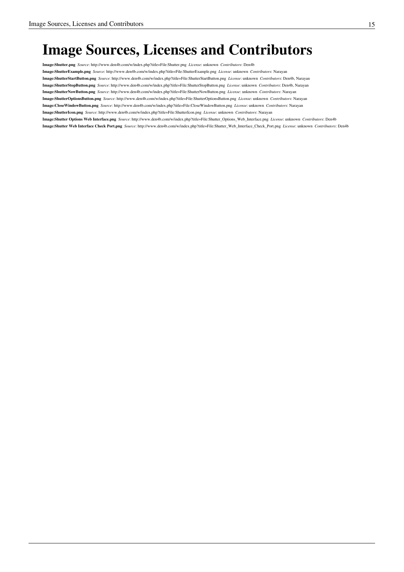# **Image Sources, Licenses and Contributors**

**Image:Shutter.png** *Source*: http://www.den4b.com/w/index.php?title=File:Shutter.png *License*: unknown *Contributors*: Den4b

**Image:ShutterExample.png** *Source*: http://www.den4b.com/w/index.php?title=File:ShutterExample.png *License*: unknown *Contributors*: Narayan

**Image:ShutterStartButton.png** *Source*: http://www.den4b.com/w/index.php?title=File:ShutterStartButton.png *License*: unknown *Contributors*: Den4b, Narayan

**Image:ShutterStopButton.png** *Source*: http://www.den4b.com/w/index.php?title=File:ShutterStopButton.png *License*: unknown *Contributors*: Den4b, Narayan

**Image:ShutterNowButton.png** *Source*: http://www.den4b.com/w/index.php?title=File:ShutterNowButton.png *License*: unknown *Contributors*: Narayan

**Image:ShutterOptionsButton.png** *Source*: http://www.den4b.com/w/index.php?title=File:ShutterOptionsButton.png *License*: unknown *Contributors*: Narayan

**Image:CloseWindowButton.png** *Source*: http://www.den4b.com/w/index.php?title=File:CloseWindowButton.png *License*: unknown *Contributors*: Narayan

**Image:ShutterIcon.png** *Source*: http://www.den4b.com/w/index.php?title=File:ShutterIcon.png *License*: unknown *Contributors*: Narayan

**Image:Shutter Options Web Interface.png** *Source*: http://www.den4b.com/w/index.php?title=File:Shutter\_Options\_Web\_Interface.png *License*: unknown *Contributors*: Den4b

**Image:Shutter Web Interface Check Port.png** *Source*: http://www.den4b.com/w/index.php?title=File:Shutter\_Web\_Interface\_Check\_Port.png *License*: unknown *Contributors*: Den4b